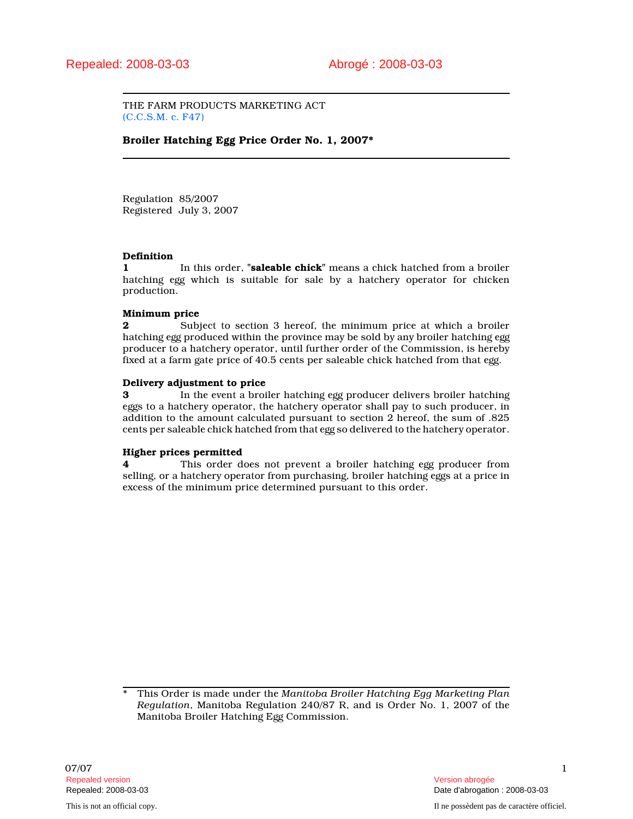THE FARM PRODUCTS MARKETING ACT (C.C.S.M. c. F47)

# Broiler Hatching Egg Price Order No. 1, 2007\*

Regulation 85/2007 Registered July 3, 2007

### Definition

1 In this order, "**saleable chick**" means a chick hatched from a broiler hatching egg which is suitable for sale by a hatchery operator for chicken production.

### Minimum price

2 Subject to section 3 hereof, the minimum price at which a broiler hatching egg produced within the province may be sold by any broiler hatching egg producer to a hatchery operator, until further order of the Commission, is hereby fixed at a farm gate price of 40.5 cents per saleable chick hatched from that egg.

### Delivery adjustment to price

3 In the event a broiler hatching egg producer delivers broiler hatching eggs to a hatchery operator, the hatchery operator shall pay to such producer, in addition to the amount calculated pursuant to section 2 hereof, the sum of .825 cents per saleable chick hatched from that egg so delivered to the hatchery operator.

# Higher prices permitted

4 This order does not prevent a broiler hatching egg producer from selling, or a hatchery operator from purchasing, broiler hatching eggs at a price in excess of the minimum price determined pursuant to this order.

This Order is made under the Manitoba Broiler Hatching Egg Marketing Plan Regulation, Manitoba Regulation 240/87 R, and is Order No. 1, 2007 of the Manitoba Broiler Hatching Egg Commission.

Repealed: 2008-03-03 Date d'abrogation : 2008-03-03